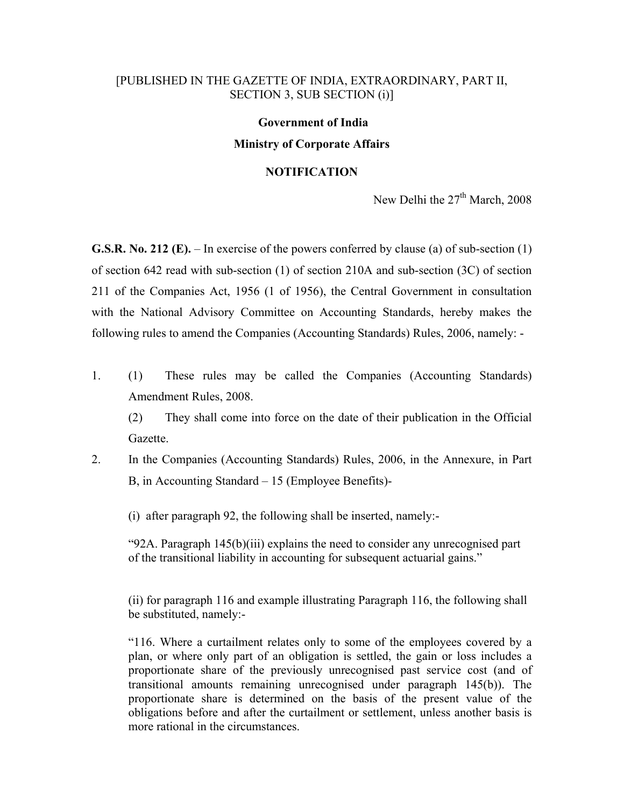#### [PUBLISHED IN THE GAZETTE OF INDIA, EXTRAORDINARY, PART II, SECTION 3, SUB SECTION (i)]

# **Government of India**

## **Ministry of Corporate Affairs**

#### **NOTIFICATION**

New Delhi the 27<sup>th</sup> March, 2008

**G.S.R. No. 212 (E).** – In exercise of the powers conferred by clause (a) of sub-section (1) of section 642 read with sub-section (1) of section 210A and sub-section (3C) of section 211 of the Companies Act, 1956 (1 of 1956), the Central Government in consultation with the National Advisory Committee on Accounting Standards, hereby makes the following rules to amend the Companies (Accounting Standards) Rules, 2006, namely: -

1. (1) These rules may be called the Companies (Accounting Standards) Amendment Rules, 2008.

(2) They shall come into force on the date of their publication in the Official Gazette.

2. In the Companies (Accounting Standards) Rules, 2006, in the Annexure, in Part B, in Accounting Standard – 15 (Employee Benefits)-

(i) after paragraph 92, the following shall be inserted, namely:-

"92A. Paragraph 145(b)(iii) explains the need to consider any unrecognised part of the transitional liability in accounting for subsequent actuarial gains."

(ii) for paragraph 116 and example illustrating Paragraph 116, the following shall be substituted, namely:-

"116. Where a curtailment relates only to some of the employees covered by a plan, or where only part of an obligation is settled, the gain or loss includes a proportionate share of the previously unrecognised past service cost (and of transitional amounts remaining unrecognised under paragraph 145(b)). The proportionate share is determined on the basis of the present value of the obligations before and after the curtailment or settlement, unless another basis is more rational in the circumstances.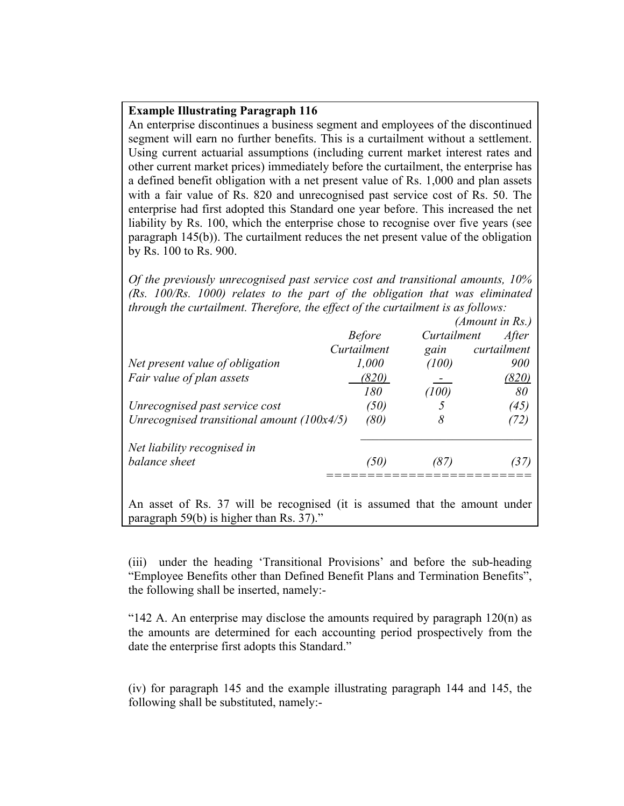#### **Example Illustrating Paragraph 116**

An enterprise discontinues a business segment and employees of the discontinued segment will earn no further benefits. This is a curtailment without a settlement. Using current actuarial assumptions (including current market interest rates and other current market prices) immediately before the curtailment, the enterprise has a defined benefit obligation with a net present value of Rs. 1,000 and plan assets with a fair value of Rs. 820 and unrecognised past service cost of Rs. 50. The enterprise had first adopted this Standard one year before. This increased the net liability by Rs. 100, which the enterprise chose to recognise over five years (see paragraph 145(b)). The curtailment reduces the net present value of the obligation by Rs. 100 to Rs. 900.

*Of the previously unrecognised past service cost and transitional amounts, 10% (Rs. 100/Rs. 1000) relates to the part of the obligation that was eliminated through the curtailment. Therefore, the effect of the curtailment is as follows:* 

| <b>Before</b><br>Curtailment | Curtailment<br>gain | After        |
|------------------------------|---------------------|--------------|
|                              |                     |              |
|                              |                     | curtailment  |
| 1,000                        | (100)               | 900          |
|                              |                     | <u>(820)</u> |
|                              | (100)               | 80           |
| (50)                         |                     | (45)         |
| (80)                         | 8                   | 72)          |
|                              |                     |              |
| (50)                         | 87.                 | 37)          |
|                              | (820)<br>180        |              |

An asset of Rs. 37 will be recognised (it is assumed that the amount under paragraph 59(b) is higher than Rs. 37)."

(iii) under the heading 'Transitional Provisions' and before the sub-heading "Employee Benefits other than Defined Benefit Plans and Termination Benefits", the following shall be inserted, namely:-

"142 A. An enterprise may disclose the amounts required by paragraph  $120(n)$  as the amounts are determined for each accounting period prospectively from the date the enterprise first adopts this Standard."

(iv) for paragraph 145 and the example illustrating paragraph 144 and 145, the following shall be substituted, namely:-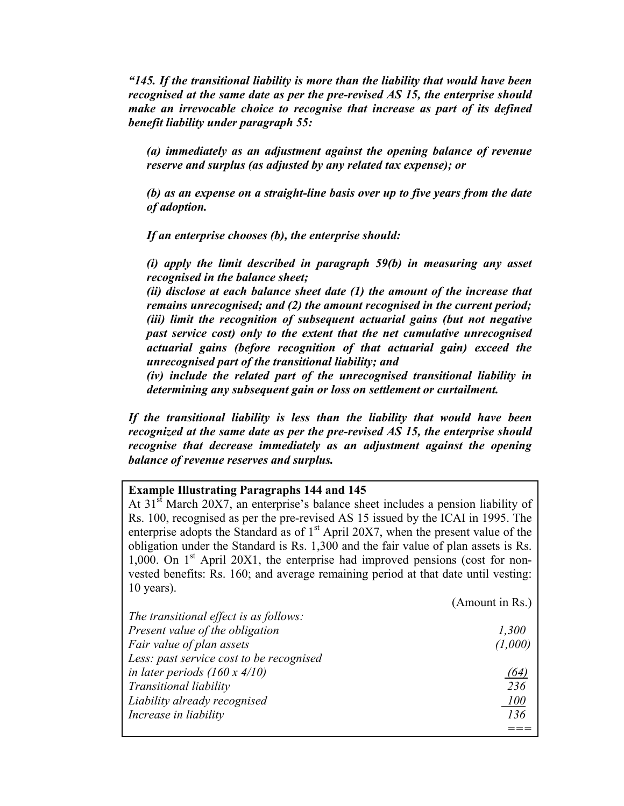*"145. If the transitional liability is more than the liability that would have been recognised at the same date as per the pre-revised AS 15, the enterprise should make an irrevocable choice to recognise that increase as part of its defined benefit liability under paragraph 55:* 

*(a) immediately as an adjustment against the opening balance of revenue reserve and surplus (as adjusted by any related tax expense); or* 

*(b) as an expense on a straight-line basis over up to five years from the date of adoption.* 

*If an enterprise chooses (b), the enterprise should:* 

*(i) apply the limit described in paragraph 59(b) in measuring any asset recognised in the balance sheet;* 

*(ii) disclose at each balance sheet date (1) the amount of the increase that remains unrecognised; and (2) the amount recognised in the current period; (iii) limit the recognition of subsequent actuarial gains (but not negative past service cost) only to the extent that the net cumulative unrecognised actuarial gains (before recognition of that actuarial gain) exceed the unrecognised part of the transitional liability; and* 

*(iv) include the related part of the unrecognised transitional liability in determining any subsequent gain or loss on settlement or curtailment.* 

*If the transitional liability is less than the liability that would have been recognized at the same date as per the pre-revised AS 15, the enterprise should recognise that decrease immediately as an adjustment against the opening balance of revenue reserves and surplus.* 

### **Example Illustrating Paragraphs 144 and 145**

At 31<sup>st</sup> March 20X7, an enterprise's balance sheet includes a pension liability of Rs. 100, recognised as per the pre-revised AS 15 issued by the ICAI in 1995. The enterprise adopts the Standard as of  $1<sup>st</sup>$  April 20X7, when the present value of the obligation under the Standard is Rs. 1,300 and the fair value of plan assets is Rs. 1,000. On  $1<sup>st</sup>$  April 20X1, the enterprise had improved pensions (cost for nonvested benefits: Rs. 160; and average remaining period at that date until vesting: 10 years).

|                                          | (Amount in Rs.) |
|------------------------------------------|-----------------|
| The transitional effect is as follows:   |                 |
| Present value of the obligation          | 1,300           |
| Fair value of plan assets                | (1,000)         |
| Less: past service cost to be recognised |                 |
| in later periods $(160 x 4/10)$          | '64             |
| Transitional liability                   | 236             |
| Liability already recognised             | <i>100</i>      |
| Increase in liability                    | 136             |
|                                          |                 |